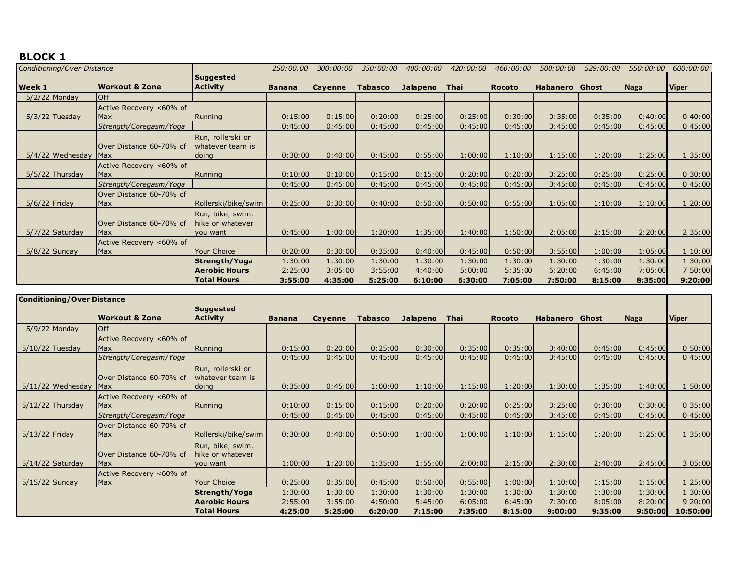## **BLOCK 1**

| Conditioning/Over Distance |                    |                                |                                      | 250:00:00     | 300:00:00      | 350:00:00      | 400:00:00       | 420:00:00 | <i>460:00:00</i> | 500:00:00             | 529:00:00 | 550:00:00   | 600:00:00    |
|----------------------------|--------------------|--------------------------------|--------------------------------------|---------------|----------------|----------------|-----------------|-----------|------------------|-----------------------|-----------|-------------|--------------|
|                            |                    | <b>Suggested</b>               |                                      |               |                |                |                 |           |                  |                       |           |             |              |
| Week 1                     |                    | <b>Workout &amp; Zone</b>      | <b>Activity</b>                      | <b>Banana</b> | <b>Cayenne</b> | <b>Tabasco</b> | <b>Jalapeno</b> | Thai      | <b>Rocoto</b>    | <b>Habanero</b> Ghost |           | <b>Naga</b> | <b>Viper</b> |
|                            | $5/2/22$ Monday    | <b>Off</b>                     |                                      |               |                |                |                 |           |                  |                       |           |             |              |
|                            |                    | Active Recovery <60% of        |                                      |               |                |                |                 |           |                  |                       |           |             |              |
|                            | $5/3/22$ Tuesday   | Max                            | Running                              | 0:15:00       | 0:15:00        | 0:20:00        | 0:25:00         | 0:25:00   | 0:30:00          | 0:35:00               | 0:35:00   | 0:40:00     | 0:40:00      |
|                            |                    | Strength/Coregasm/Yoga         |                                      | 0:45:00       | 0:45:00        | 0:45:00        | 0:45:00         | 0:45:00   | 0:45:00          | 0:45:00               | 0:45:00   | 0:45:00     | 0:45:00      |
|                            |                    |                                | Run, rollerski or                    |               |                |                |                 |           |                  |                       |           |             |              |
|                            |                    | Over Distance 60-70% of        | whatever team is                     |               |                |                |                 |           |                  |                       |           |             |              |
|                            | $5/4/22$ Wednesday | Max                            | doing                                | 0:30:00       | 0:40:00        | 0:45:00        | 0:55:00         | 1:00:00   | 1:10:00          | 1:15:00               | 1:20:00   | 1:25:00     | 1:35:00      |
|                            |                    | Active Recovery <60% of        |                                      |               |                |                |                 |           |                  |                       |           |             |              |
|                            | $5/5/22$ Thursday  | <b>Max</b>                     | Running                              | 0:10:00       | 0:10:00        | 0:15:00        | 0:15:00         | 0:20:00   | 0:20:00          | 0:25:00               | 0:25:00   | 0:25:00     | 0:30:00      |
|                            |                    | Strength/Coregasm/Yoga         |                                      | 0:45:00       | 0:45:00        | 0:45:00        | 0:45:00         | 0:45:00   | 0:45:00          | 0:45:00               | 0:45:00   | 0:45:00     | 0:45:00      |
|                            |                    | Over Distance 60-70% of        |                                      |               |                |                |                 |           |                  |                       |           |             |              |
| $5/6/22$ Friday            |                    | Max                            | Rollerski/bike/swim                  | 0:25:00       | 0:30:00        | 0:40:00        | 0:50:00         | 0:50:00   | 0:55:00          | 1:05:00               | 1:10:00   | 1:10:00     | 1:20:00      |
|                            | $5/7/22$ Saturday  | Over Distance 60-70% of<br>Max | Run, bike, swim,<br>hike or whatever | 0:45:00       | 1:00:00        | 1:20:00        | 1:35:00         | 1:40:00   | 1:50:00          | 2:05:00               | 2:15:00   | 2:20:00     | 2:35:00      |
|                            |                    |                                | you want                             |               |                |                |                 |           |                  |                       |           |             |              |
|                            | $5/8/22$ Sunday    | Active Recovery <60% of<br>Max | <b>Your Choice</b>                   | 0:20:00       | 0:30:00        | 0:35:00        | 0:40:00         | 0:45:00   | 0:50:00          | 0:55:00               | 1:00:00   | 1:05:00     | 1:10:00      |
|                            |                    |                                | Strength/Yoga                        | 1:30:00       | 1:30:00        | 1:30:00        | 1:30:00         | 1:30:00   | 1:30:00          | 1:30:00               | 1:30:00   | 1:30:00     | 1:30:00      |
|                            |                    |                                |                                      |               |                |                |                 |           |                  |                       |           |             |              |
|                            |                    |                                | <b>Aerobic Hours</b>                 | 2:25:00       | 3:05:00        | 3:55:00        | 4:40:00         | 5:00:00   | 5:35:00          | 6:20:00               | 6:45:00   | 7:05:00     | 7:50:00      |
|                            |                    |                                | <b>Total Hours</b>                   | 3:55:00       | 4:35:00        | 5:25:00        | 6:10:00         | 6:30:00   | 7:05:00          | 7:50:00               | 8:15:00   | 8:35:00     | 9:20:00      |

| <b>Conditioning/Over Distance</b> |                     |                           |                      |               |         |                |          |         |               |          |         |             |          |
|-----------------------------------|---------------------|---------------------------|----------------------|---------------|---------|----------------|----------|---------|---------------|----------|---------|-------------|----------|
|                                   |                     |                           | <b>Suggested</b>     |               |         |                |          |         |               |          |         |             |          |
|                                   |                     | <b>Workout &amp; Zone</b> | <b>Activity</b>      | <b>Banana</b> | Cayenne | <b>Tabasco</b> | Jalapeno | Thai    | <b>Rocoto</b> | Habanero | Ghost   | <b>Naga</b> | Viper    |
|                                   | $5/9/22$ Monday     | <b>Off</b>                |                      |               |         |                |          |         |               |          |         |             |          |
|                                   |                     | Active Recovery <60% of   |                      |               |         |                |          |         |               |          |         |             |          |
|                                   | 5/10/22 Tuesday     | <b>Max</b>                | Running              | 0:15:00       | 0:20:00 | 0:25:00        | 0:30:00  | 0:35:00 | 0:35:00       | 0:40:00  | 0:45:00 | 0:45:00     | 0:50:00  |
|                                   |                     | Strength/Coregasm/Yoga    |                      | 0:45:00       | 0:45:00 | 0:45:00        | 0:45:00  | 0:45:00 | 0:45:00       | 0:45:00  | 0:45:00 | 0:45:00     | 0:45:00  |
|                                   |                     |                           | Run, rollerski or    |               |         |                |          |         |               |          |         |             |          |
|                                   |                     | Over Distance 60-70% of   | whatever team is     |               |         |                |          |         |               |          |         |             |          |
|                                   | $5/11/22$ Wednesday | Max                       | doing                | 0:35:00       | 0:45:00 | 1:00:00        | 1:10:00  | 1:15:00 | 1:20:00       | 1:30:00  | 1:35:00 | 1:40:00     | 1:50:00  |
|                                   |                     | Active Recovery <60% of   |                      |               |         |                |          |         |               |          |         |             |          |
|                                   | $5/12/22$ Thursday  | <b>Max</b>                | Running              | 0:10:00       | 0:15:00 | 0:15:00        | 0:20:00  | 0:20:00 | 0:25:00       | 0:25:00  | 0:30:00 | 0:30:00     | 0:35:00  |
|                                   |                     | Strength/Coregasm/Yoga    |                      | 0:45:00       | 0:45:00 | 0:45:00        | 0:45:00  | 0:45:00 | 0:45:00       | 0:45:00  | 0:45:00 | 0:45:00     | 0:45:00  |
|                                   |                     | Over Distance 60-70% of   |                      |               |         |                |          |         |               |          |         |             |          |
| $5/13/22$ Friday                  |                     | <b>Max</b>                | Rollerski/bike/swim  | 0:30:00       | 0:40:00 | 0:50:00        | 1:00:00  | 1:00:00 | 1:10:00       | 1:15:00  | 1:20:00 | 1:25:00     | 1:35:00  |
|                                   |                     |                           | Run, bike, swim,     |               |         |                |          |         |               |          |         |             |          |
|                                   |                     | Over Distance 60-70% of   | hike or whatever     |               |         |                |          |         |               |          |         |             |          |
|                                   | $5/14/22$ Saturday  | <b>Max</b>                | you want             | 1:00:00       | 1:20:00 | 1:35:00        | 1:55:00  | 2:00:00 | 2:15:00       | 2:30:00  | 2:40:00 | 2:45:00     | 3:05:00  |
|                                   |                     | Active Recovery <60% of   |                      |               |         |                |          |         |               |          |         |             |          |
| $5/15/22$ Sunday                  |                     | <b>Max</b>                | <b>Your Choice</b>   | 0:25:00       | 0:35:00 | 0:45:00        | 0:50:00  | 0:55:00 | 1:00:00       | 1:10:00  | 1:15:00 | 1:15:00     | 1:25:00  |
|                                   |                     |                           | Strength/Yoga        | 1:30:00       | 1:30:00 | 1:30:00        | 1:30:00  | 1:30:00 | 1:30:00       | 1:30:00  | 1:30:00 | 1:30:00     | 1:30:00  |
|                                   |                     |                           | <b>Aerobic Hours</b> | 2:55:00       | 3:55:00 | 4:50:00        | 5:45:00  | 6:05:00 | 6:45:00       | 7:30:00  | 8:05:00 | 8:20:00     | 9:20:00  |
|                                   |                     |                           | <b>Total Hours</b>   | 4:25:00       | 5:25:00 | 6:20:00        | 7:15:00  | 7:35:00 | 8:15:00       | 9:00:00  | 9:35:00 | 9:50:00     | 10:50:00 |